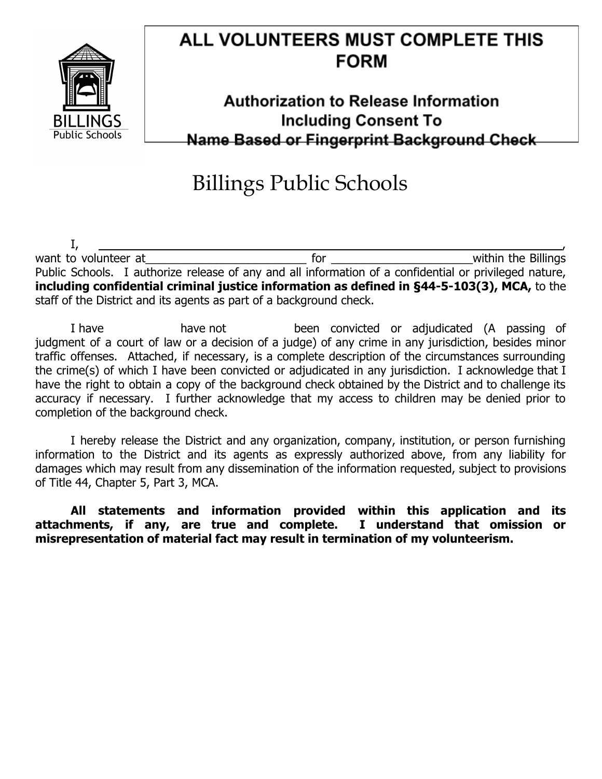

## ALL VOLUNTEERS MUST COMPLETE THIS **FORM**

## **Authorization to Release Information Including Consent To** Name Based or Fingerprint Background Check

## Billings Public Schools

I, \_\_\_\_\_\_\_\_\_\_\_\_\_\_\_\_\_\_\_\_\_\_\_\_\_\_\_\_\_\_\_\_\_\_\_\_\_\_\_\_\_\_\_\_\_\_\_\_\_\_\_\_\_\_\_\_\_\_\_\_\_\_\_\_\_\_\_\_\_\_\_\_, want to volunteer at the contract the contract of the state of the contract of the Billings Public Schools. I authorize release of any and all information of a confidential or privileged nature, **including confidential criminal justice information as defined in §44-5-103(3), MCA,** to the staff of the District and its agents as part of a background check.

I have have not been convicted or adjudicated (A passing of judgment of a court of law or a decision of a judge) of any crime in any jurisdiction, besides minor traffic offenses. Attached, if necessary, is a complete description of the circumstances surrounding the crime(s) of which I have been convicted or adjudicated in any jurisdiction. I acknowledge that I have the right to obtain a copy of the background check obtained by the District and to challenge its accuracy if necessary. I further acknowledge that my access to children may be denied prior to completion of the background check.

I hereby release the District and any organization, company, institution, or person furnishing information to the District and its agents as expressly authorized above, from any liability for damages which may result from any dissemination of the information requested, subject to provisions of Title 44, Chapter 5, Part 3, MCA.

**All statements and information provided within this application and its attachments, if any, are true and complete. I understand that omission or misrepresentation of material fact may result in termination of my volunteerism.**